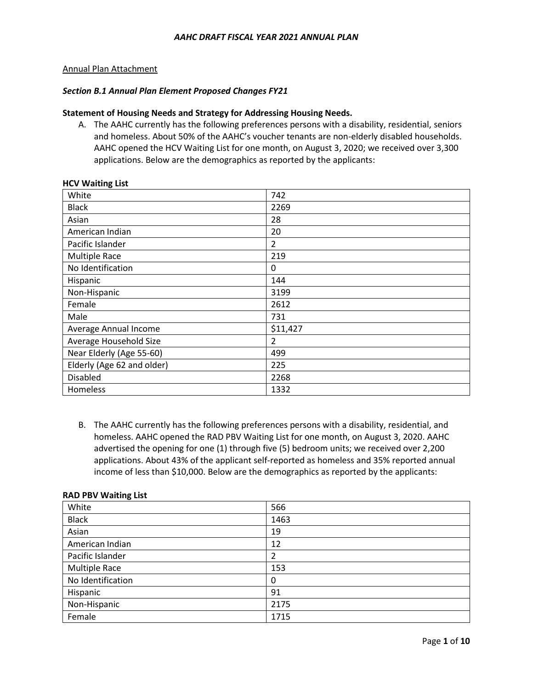### Annual Plan Attachment

### *Section B.1 Annual Plan Element Proposed Changes FY21*

### **Statement of Housing Needs and Strategy for Addressing Housing Needs.**

A. The AAHC currently has the following preferences persons with a disability, residential, seniors and homeless. About 50% of the AAHC's voucher tenants are non-elderly disabled households. AAHC opened the HCV Waiting List for one month, on August 3, 2020; we received over 3,300 applications. Below are the demographics as reported by the applicants:

| White                      | 742            |
|----------------------------|----------------|
| <b>Black</b>               | 2269           |
| Asian                      | 28             |
| American Indian            | 20             |
| Pacific Islander           | $\overline{2}$ |
| <b>Multiple Race</b>       | 219            |
| No Identification          | 0              |
| Hispanic                   | 144            |
| Non-Hispanic               | 3199           |
| Female                     | 2612           |
| Male                       | 731            |
| Average Annual Income      | \$11,427       |
| Average Household Size     | $\overline{2}$ |
| Near Elderly (Age 55-60)   | 499            |
| Elderly (Age 62 and older) | 225            |
| <b>Disabled</b>            | 2268           |
| Homeless                   | 1332           |

### **HCV Waiting List**

B. The AAHC currently has the following preferences persons with a disability, residential, and homeless. AAHC opened the RAD PBV Waiting List for one month, on August 3, 2020. AAHC advertised the opening for one (1) through five (5) bedroom units; we received over 2,200 applications. About 43% of the applicant self-reported as homeless and 35% reported annual income of less than \$10,000. Below are the demographics as reported by the applicants:

| White             | 566  |
|-------------------|------|
| <b>Black</b>      | 1463 |
| Asian             | 19   |
| American Indian   | 12   |
| Pacific Islander  | 2    |
| Multiple Race     | 153  |
| No Identification | 0    |
| Hispanic          | 91   |
| Non-Hispanic      | 2175 |
| Female            | 1715 |

### **RAD PBV Waiting List**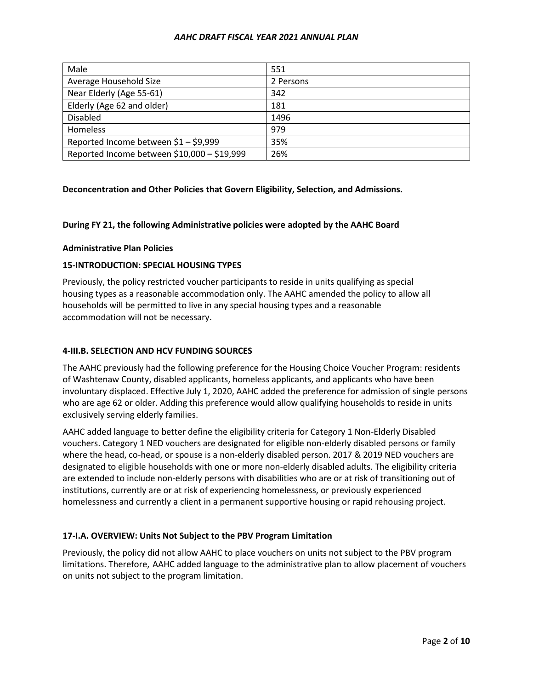| Male                                        | 551       |
|---------------------------------------------|-----------|
| Average Household Size                      | 2 Persons |
| Near Elderly (Age 55-61)                    | 342       |
| Elderly (Age 62 and older)                  | 181       |
| Disabled                                    | 1496      |
| Homeless                                    | 979       |
| Reported Income between \$1 - \$9,999       | 35%       |
| Reported Income between \$10,000 - \$19,999 | 26%       |

# **Deconcentration and Other Policies that Govern Eligibility, Selection, and Admissions.**

# **During FY 21, the following Administrative policies were adopted by the AAHC Board**

### **Administrative Plan Policies**

# **15-INTRODUCTION: SPECIAL HOUSING TYPES**

Previously, the policy restricted voucher participants to reside in units qualifying as special housing types as a reasonable accommodation only. The AAHC amended the policy to allow all households will be permitted to live in any special housing types and a reasonable accommodation will not be necessary.

### **4-III.B. SELECTION AND HCV FUNDING SOURCES**

The AAHC previously had the following preference for the Housing Choice Voucher Program: residents of Washtenaw County, disabled applicants, homeless applicants, and applicants who have been involuntary displaced. Effective July 1, 2020, AAHC added the preference for admission of single persons who are age 62 or older. Adding this preference would allow qualifying households to reside in units exclusively serving elderly families.

AAHC added language to better define the eligibility criteria for Category 1 Non-Elderly Disabled vouchers. Category 1 NED vouchers are designated for eligible non-elderly disabled persons or family where the head, co-head, or spouse is a non-elderly disabled person. 2017 & 2019 NED vouchers are designated to eligible households with one or more non-elderly disabled adults. The eligibility criteria are extended to include non-elderly persons with disabilities who are or at risk of transitioning out of institutions, currently are or at risk of experiencing homelessness, or previously experienced homelessness and currently a client in a permanent supportive housing or rapid rehousing project.

# **17-I.A. OVERVIEW: Units Not Subject to the PBV Program Limitation**

Previously, the policy did not allow AAHC to place vouchers on units not subject to the PBV program limitations. Therefore, AAHC added language to the administrative plan to allow placement of vouchers on units not subject to the program limitation.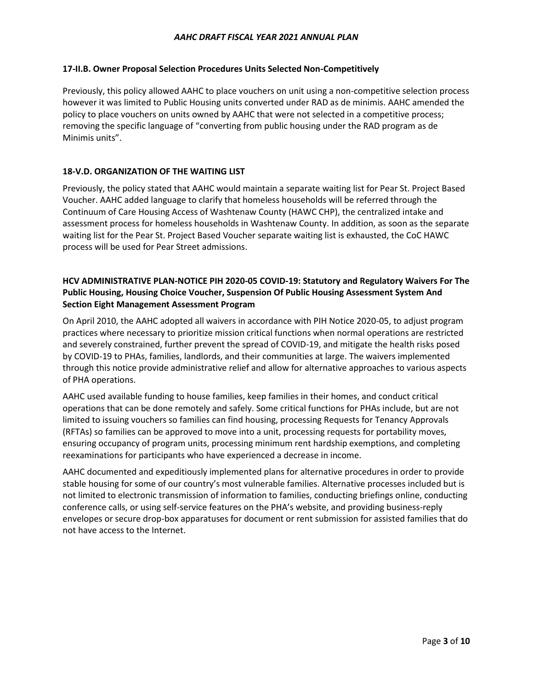# **17-II.B. Owner Proposal Selection Procedures Units Selected Non-Competitively**

Previously, this policy allowed AAHC to place vouchers on unit using a non-competitive selection process however it was limited to Public Housing units converted under RAD as de minimis. AAHC amended the policy to place vouchers on units owned by AAHC that were not selected in a competitive process; removing the specific language of "converting from public housing under the RAD program as de Minimis units".

# **18-V.D. ORGANIZATION OF THE WAITING LIST**

Previously, the policy stated that AAHC would maintain a separate waiting list for Pear St. Project Based Voucher. AAHC added language to clarify that homeless households will be referred through the Continuum of Care Housing Access of Washtenaw County (HAWC CHP), the centralized intake and assessment process for homeless households in Washtenaw County. In addition, as soon as the separate waiting list for the Pear St. Project Based Voucher separate waiting list is exhausted, the CoC HAWC process will be used for Pear Street admissions.

# **HCV ADMINISTRATIVE PLAN-NOTICE PIH 2020-05 COVID-19: Statutory and Regulatory Waivers For The Public Housing, Housing Choice Voucher, Suspension Of Public Housing Assessment System And Section Eight Management Assessment Program**

On April 2010, the AAHC adopted all waivers in accordance with PIH Notice 2020-05, to adjust program practices where necessary to prioritize mission critical functions when normal operations are restricted and severely constrained, further prevent the spread of COVID-19, and mitigate the health risks posed by COVID-19 to PHAs, families, landlords, and their communities at large. The waivers implemented through this notice provide administrative relief and allow for alternative approaches to various aspects of PHA operations.

AAHC used available funding to house families, keep families in their homes, and conduct critical operations that can be done remotely and safely. Some critical functions for PHAs include, but are not limited to issuing vouchers so families can find housing, processing Requests for Tenancy Approvals (RFTAs) so families can be approved to move into a unit, processing requests for portability moves, ensuring occupancy of program units, processing minimum rent hardship exemptions, and completing reexaminations for participants who have experienced a decrease in income.

AAHC documented and expeditiously implemented plans for alternative procedures in order to provide stable housing for some of our country's most vulnerable families. Alternative processes included but is not limited to electronic transmission of information to families, conducting briefings online, conducting conference calls, or using self-service features on the PHA's website, and providing business-reply envelopes or secure drop-box apparatuses for document or rent submission for assisted families that do not have access to the Internet.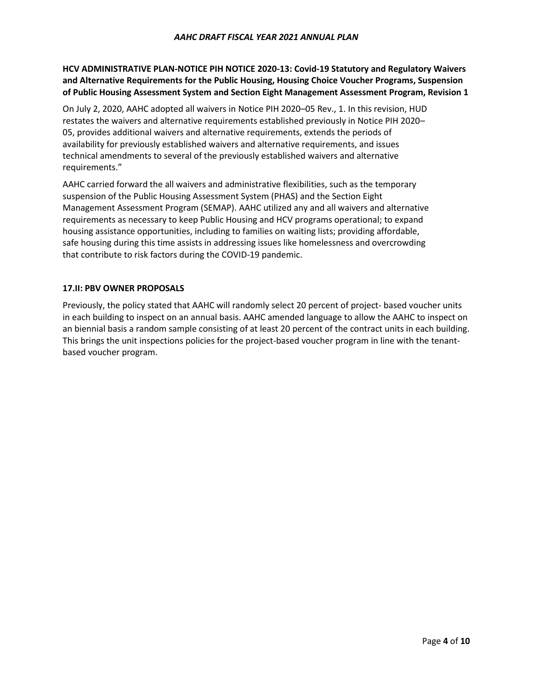# **HCV ADMINISTRATIVE PLAN-NOTICE PIH NOTICE 2020-13: Covid-19 Statutory and Regulatory Waivers and Alternative Requirements for the Public Housing, Housing Choice Voucher Programs, Suspension of Public Housing Assessment System and Section Eight Management Assessment Program, Revision 1**

On July 2, 2020, AAHC adopted all waivers in Notice PIH 2020–05 Rev., 1. In this revision, HUD restates the waivers and alternative requirements established previously in Notice PIH 2020– 05, provides additional waivers and alternative requirements, extends the periods of availability for previously established waivers and alternative requirements, and issues technical amendments to several of the previously established waivers and alternative requirements."

AAHC carried forward the all waivers and administrative flexibilities, such as the temporary suspension of the Public Housing Assessment System (PHAS) and the Section Eight Management Assessment Program (SEMAP). AAHC utilized any and all waivers and alternative requirements as necessary to keep Public Housing and HCV programs operational; to expand housing assistance opportunities, including to families on waiting lists; providing affordable, safe housing during this time assists in addressing issues like homelessness and overcrowding that contribute to risk factors during the COVID-19 pandemic.

# **17.II: PBV OWNER PROPOSALS**

Previously, the policy stated that AAHC will randomly select 20 percent of project- based voucher units in each building to inspect on an annual basis. AAHC amended language to allow the AAHC to inspect on an biennial basis a random sample consisting of at least 20 percent of the contract units in each building. This brings the unit inspections policies for the project-based voucher program in line with the tenantbased voucher program.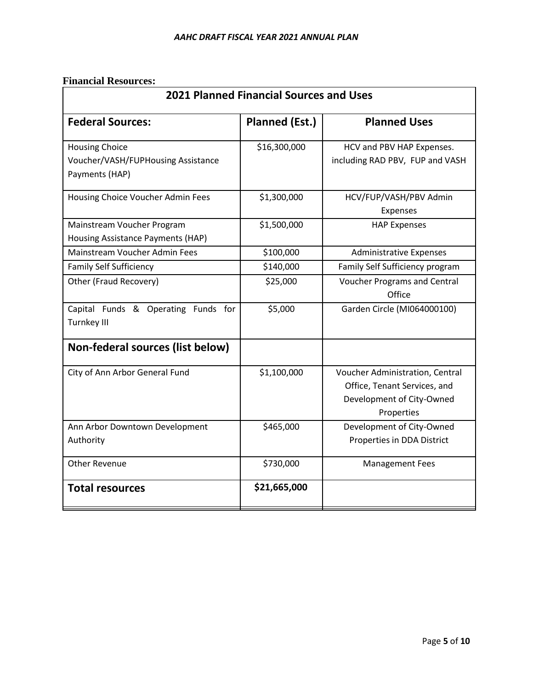# **Financial Resources:**

| <b>2021 Planned Financial Sources and Uses</b>            |                       |                                               |  |
|-----------------------------------------------------------|-----------------------|-----------------------------------------------|--|
| <b>Federal Sources:</b>                                   | <b>Planned (Est.)</b> | <b>Planned Uses</b>                           |  |
| <b>Housing Choice</b>                                     | \$16,300,000          | HCV and PBV HAP Expenses.                     |  |
| Voucher/VASH/FUPHousing Assistance                        |                       | including RAD PBV, FUP and VASH               |  |
| Payments (HAP)                                            |                       |                                               |  |
| Housing Choice Voucher Admin Fees                         | \$1,300,000           | HCV/FUP/VASH/PBV Admin                        |  |
|                                                           |                       | Expenses                                      |  |
| Mainstream Voucher Program                                | \$1,500,000           | <b>HAP Expenses</b>                           |  |
| Housing Assistance Payments (HAP)                         |                       |                                               |  |
| Mainstream Voucher Admin Fees                             | \$100,000             | <b>Administrative Expenses</b>                |  |
| <b>Family Self Sufficiency</b>                            | \$140,000             | Family Self Sufficiency program               |  |
| Other (Fraud Recovery)                                    | \$25,000              | <b>Voucher Programs and Central</b><br>Office |  |
| Capital Funds & Operating Funds for<br><b>Turnkey III</b> | \$5,000               | Garden Circle (MI064000100)                   |  |
| Non-federal sources (list below)                          |                       |                                               |  |
| City of Ann Arbor General Fund                            | \$1,100,000           | Voucher Administration, Central               |  |
|                                                           |                       | Office, Tenant Services, and                  |  |
|                                                           |                       | Development of City-Owned                     |  |
|                                                           |                       | Properties                                    |  |
| Ann Arbor Downtown Development                            | \$465,000             | Development of City-Owned                     |  |
| Authority                                                 |                       | Properties in DDA District                    |  |
| <b>Other Revenue</b>                                      | \$730,000             | <b>Management Fees</b>                        |  |
| <b>Total resources</b>                                    | \$21,665,000          |                                               |  |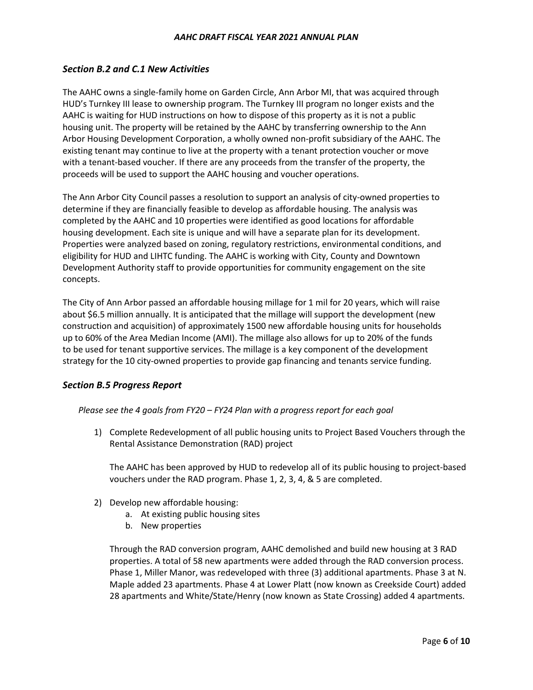# *Section B.2 and C.1 New Activities*

The AAHC owns a single-family home on Garden Circle, Ann Arbor MI, that was acquired through HUD's Turnkey III lease to ownership program. The Turnkey III program no longer exists and the AAHC is waiting for HUD instructions on how to dispose of this property as it is not a public housing unit. The property will be retained by the AAHC by transferring ownership to the Ann Arbor Housing Development Corporation, a wholly owned non-profit subsidiary of the AAHC. The existing tenant may continue to live at the property with a tenant protection voucher or move with a tenant-based voucher. If there are any proceeds from the transfer of the property, the proceeds will be used to support the AAHC housing and voucher operations.

The Ann Arbor City Council passes a resolution to support an analysis of city-owned properties to determine if they are financially feasible to develop as affordable housing. The analysis was completed by the AAHC and 10 properties were identified as good locations for affordable housing development. Each site is unique and will have a separate plan for its development. Properties were analyzed based on zoning, regulatory restrictions, environmental conditions, and eligibility for HUD and LIHTC funding. The AAHC is working with City, County and Downtown Development Authority staff to provide opportunities for community engagement on the site concepts.

The City of Ann Arbor passed an affordable housing millage for 1 mil for 20 years, which will raise about \$6.5 million annually. It is anticipated that the millage will support the development (new construction and acquisition) of approximately 1500 new affordable housing units for households up to 60% of the Area Median Income (AMI). The millage also allows for up to 20% of the funds to be used for tenant supportive services. The millage is a key component of the development strategy for the 10 city-owned properties to provide gap financing and tenants service funding.

# *Section B.5 Progress Report*

# *Please see the 4 goals from FY20 – FY24 Plan with a progress report for each goal*

1) Complete Redevelopment of all public housing units to Project Based Vouchers through the Rental Assistance Demonstration (RAD) project

The AAHC has been approved by HUD to redevelop all of its public housing to project-based vouchers under the RAD program. Phase 1, 2, 3, 4, & 5 are completed.

- 2) Develop new affordable housing:
	- a. At existing public housing sites
	- b. New properties

Through the RAD conversion program, AAHC demolished and build new housing at 3 RAD properties. A total of 58 new apartments were added through the RAD conversion process. Phase 1, Miller Manor, was redeveloped with three (3) additional apartments. Phase 3 at N. Maple added 23 apartments. Phase 4 at Lower Platt (now known as Creekside Court) added 28 apartments and White/State/Henry (now known as State Crossing) added 4 apartments.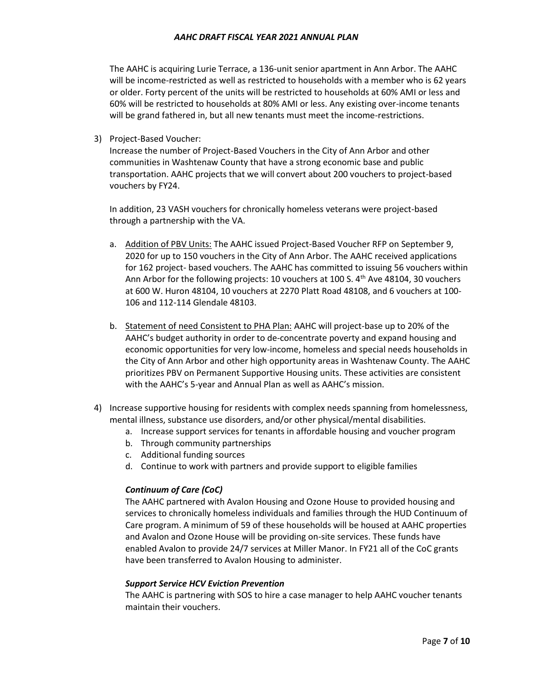The AAHC is acquiring Lurie Terrace, a 136-unit senior apartment in Ann Arbor. The AAHC will be income-restricted as well as restricted to households with a member who is 62 years or older. Forty percent of the units will be restricted to households at 60% AMI or less and 60% will be restricted to households at 80% AMI or less. Any existing over-income tenants will be grand fathered in, but all new tenants must meet the income-restrictions.

3) Project-Based Voucher:

Increase the number of Project-Based Vouchers in the City of Ann Arbor and other communities in Washtenaw County that have a strong economic base and public transportation. AAHC projects that we will convert about 200 vouchers to project-based vouchers by FY24.

In addition, 23 VASH vouchers for chronically homeless veterans were project-based through a partnership with the VA.

- a. Addition of PBV Units: The AAHC issued Project-Based Voucher RFP on September 9, 2020 for up to 150 vouchers in the City of Ann Arbor. The AAHC received applications for 162 project- based vouchers. The AAHC has committed to issuing 56 vouchers within Ann Arbor for the following projects: 10 vouchers at 100 S.  $4<sup>th</sup>$  Ave 48104, 30 vouchers at 600 W. Huron 48104, 10 vouchers at 2270 Platt Road 48108, and 6 vouchers at 100- 106 and 112-114 Glendale 48103.
- b. Statement of need Consistent to PHA Plan: AAHC will project-base up to 20% of the AAHC's budget authority in order to de-concentrate poverty and expand housing and economic opportunities for very low-income, homeless and special needs households in the City of Ann Arbor and other high opportunity areas in Washtenaw County. The AAHC prioritizes PBV on Permanent Supportive Housing units. These activities are consistent with the AAHC's 5-year and Annual Plan as well as AAHC's mission.
- 4) Increase supportive housing for residents with complex needs spanning from homelessness, mental illness, substance use disorders, and/or other physical/mental disabilities.
	- a. Increase support services for tenants in affordable housing and voucher program
	- b. Through community partnerships
	- c. Additional funding sources
	- d. Continue to work with partners and provide support to eligible families

### *Continuum of Care (CoC)*

The AAHC partnered with Avalon Housing and Ozone House to provided housing and services to chronically homeless individuals and families through the HUD Continuum of Care program. A minimum of 59 of these households will be housed at AAHC properties and Avalon and Ozone House will be providing on-site services. These funds have enabled Avalon to provide 24/7 services at Miller Manor. In FY21 all of the CoC grants have been transferred to Avalon Housing to administer.

### *Support Service HCV Eviction Prevention*

The AAHC is partnering with SOS to hire a case manager to help AAHC voucher tenants maintain their vouchers.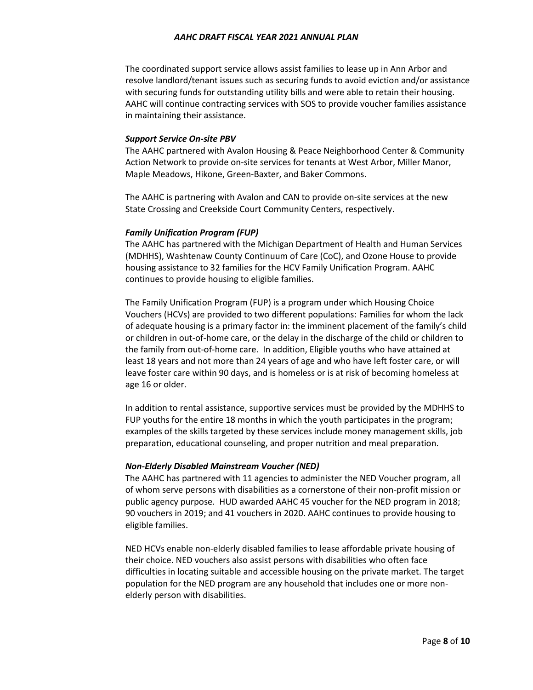The coordinated support service allows assist families to lease up in Ann Arbor and resolve landlord/tenant issues such as securing funds to avoid eviction and/or assistance with securing funds for outstanding utility bills and were able to retain their housing. AAHC will continue contracting services with SOS to provide voucher families assistance in maintaining their assistance.

#### *Support Service On-site PBV*

The AAHC partnered with Avalon Housing & Peace Neighborhood Center & Community Action Network to provide on-site services for tenants at West Arbor, Miller Manor, Maple Meadows, Hikone, Green-Baxter, and Baker Commons.

The AAHC is partnering with Avalon and CAN to provide on-site services at the new State Crossing and Creekside Court Community Centers, respectively.

#### *Family Unification Program (FUP)*

The AAHC has partnered with the Michigan Department of Health and Human Services (MDHHS), Washtenaw County Continuum of Care (CoC), and Ozone House to provide housing assistance to 32 families for the HCV Family Unification Program. AAHC continues to provide housing to eligible families.

The Family Unification Program (FUP) is a program under which Housing Choice Vouchers (HCVs) are provided to two different populations: Families for whom the lack of adequate housing is a primary factor in: the imminent placement of the family's child or children in out-of-home care, or the delay in the discharge of the child or children to the family from out-of-home care. In addition, Eligible youths who have attained at least 18 years and not more than 24 years of age and who have left foster care, or will leave foster care within 90 days, and is homeless or is at risk of becoming homeless at age 16 or older.

In addition to rental assistance, supportive services must be provided by the MDHHS to FUP youths for the entire 18 months in which the youth participates in the program; examples of the skills targeted by these services include money management skills, job preparation, educational counseling, and proper nutrition and meal preparation.

#### *Non-Elderly Disabled Mainstream Voucher (NED)*

The AAHC has partnered with 11 agencies to administer the NED Voucher program, all of whom serve persons with disabilities as a cornerstone of their non-profit mission or public agency purpose. HUD awarded AAHC 45 voucher for the NED program in 2018; 90 vouchers in 2019; and 41 vouchers in 2020. AAHC continues to provide housing to eligible families.

NED HCVs enable non-elderly disabled families to lease affordable private housing of their choice. NED vouchers also assist persons with disabilities who often face difficulties in locating suitable and accessible housing on the private market. The target population for the NED program are any household that includes one or more nonelderly person with disabilities.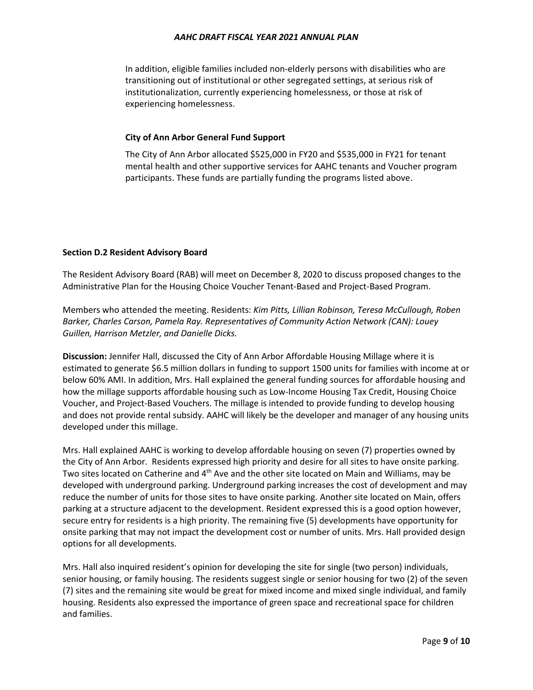In addition, eligible families included non-elderly persons with disabilities who are transitioning out of institutional or other segregated settings, at serious risk of institutionalization, currently experiencing homelessness, or those at risk of experiencing homelessness.

# **City of Ann Arbor General Fund Support**

The City of Ann Arbor allocated \$525,000 in FY20 and \$535,000 in FY21 for tenant mental health and other supportive services for AAHC tenants and Voucher program participants. These funds are partially funding the programs listed above.

# **Section D.2 Resident Advisory Board**

The Resident Advisory Board (RAB) will meet on December 8, 2020 to discuss proposed changes to the Administrative Plan for the Housing Choice Voucher Tenant-Based and Project-Based Program.

Members who attended the meeting. Residents: *Kim Pitts, Lillian Robinson, Teresa McCullough, Roben Barker, Charles Carson, Pamela Ray. Representatives of Community Action Network (CAN): Louey Guillen, Harrison Metzler, and Danielle Dicks.* 

**Discussion:** Jennifer Hall, discussed the City of Ann Arbor Affordable Housing Millage where it is estimated to generate \$6.5 million dollars in funding to support 1500 units for families with income at or below 60% AMI. In addition, Mrs. Hall explained the general funding sources for affordable housing and how the millage supports affordable housing such as Low-Income Housing Tax Credit, Housing Choice Voucher, and Project-Based Vouchers. The millage is intended to provide funding to develop housing and does not provide rental subsidy. AAHC will likely be the developer and manager of any housing units developed under this millage.

Mrs. Hall explained AAHC is working to develop affordable housing on seven (7) properties owned by the City of Ann Arbor. Residents expressed high priority and desire for all sites to have onsite parking. Two sites located on Catherine and 4<sup>th</sup> Ave and the other site located on Main and Williams, may be developed with underground parking. Underground parking increases the cost of development and may reduce the number of units for those sites to have onsite parking. Another site located on Main, offers parking at a structure adjacent to the development. Resident expressed this is a good option however, secure entry for residents is a high priority. The remaining five (5) developments have opportunity for onsite parking that may not impact the development cost or number of units. Mrs. Hall provided design options for all developments.

Mrs. Hall also inquired resident's opinion for developing the site for single (two person) individuals, senior housing, or family housing. The residents suggest single or senior housing for two (2) of the seven (7) sites and the remaining site would be great for mixed income and mixed single individual, and family housing. Residents also expressed the importance of green space and recreational space for children and families.